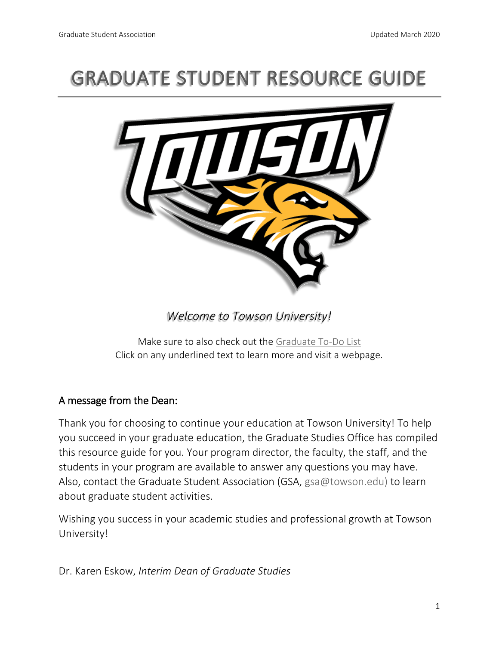# GRADUATE STUDENT RESOURCE GUIDE



*Welcome to Towson University!* 

Make sure to also check out the [Graduate To-Do List](https://www.towson.edu/academics/graduate/admissions/enrolled/graduate-student.html) Click on any underlined text to learn more and visit a webpage.

### A message from the Dean:

Thank you for choosing to continue your education at Towson University! To help you succeed in your graduate education, the Graduate Studies Office has compiled this resource guide for you. Your program director, the faculty, the staff, and the students in your program are available to answer any questions you may have. Also, contact the Graduate Student Association (GSA, [gsa@towson.edu\)](mailto:gsa@towson.edu)) to learn about graduate student activities.

Wishing you success in your academic studies and professional growth at Towson University!

Dr. Karen Eskow, *Interim Dean of Graduate Studies*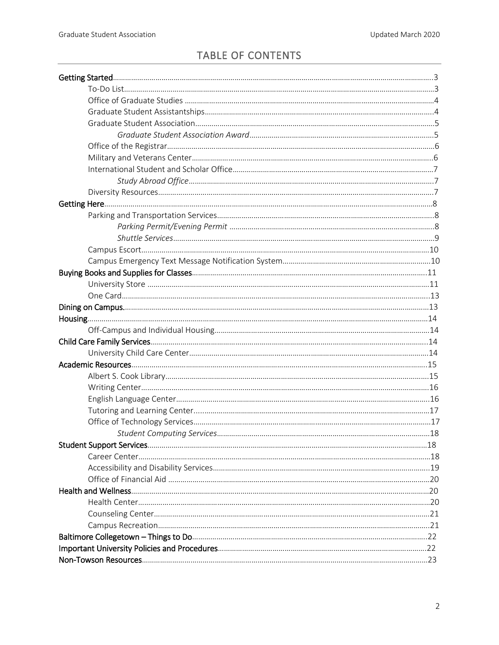## TABLE OF CONTENTS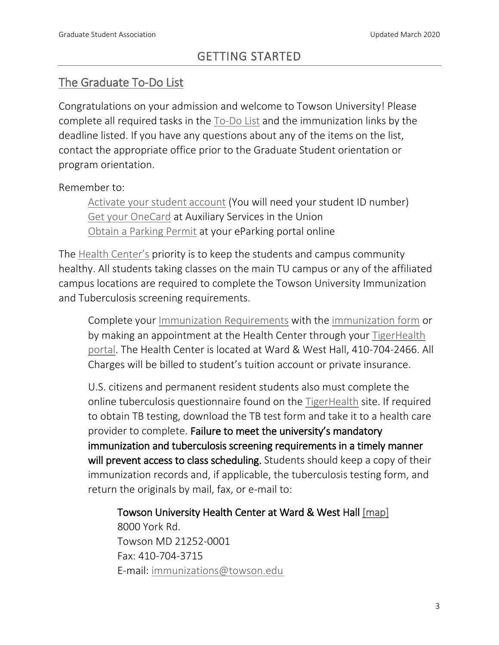# [The Graduate To-Do List](http://www.towson.edu/academics/graduate/admissions/admitted/todolist.html)

Congratulations on your admission and welcome to Towson University! Please complete all required tasks in the [To-Do List](https://www.towson.edu/academics/graduate/admissions/enrolled/graduate-student.html) and the immunization links by the deadline listed. If you have any questions about any of the items on the list, contact the appropriate office prior to the Graduate Student orientation or program orientation.

### Remember to:

[Activate your student account](https://itwebapps.towson.edu/netidactivation/(S(lhxujz2xzmgvbhanxm0bujm1))/default.aspx) (You will need your student ID number) [Get your OneCard](https://www.towson.edu/auxiliaryservices/) at Auxiliary Services in the Union [Obtain a Parking Permit](https://tuflexport0616.t2hosted.com/Account/Portal) at your eParking portal online

The [Health Center's](http://www.towson.edu/healthcenter/) priority is to keep the students and campus community healthy. All students taking classes on the main TU campus or any of the affiliated campus locations are required to complete the Towson University Immunization and Tuberculosis screening requirements.

Complete your [Immunization Requirements](http://www.towson.edu/healthcenter/immunizations.html) with the [immunization form](http://www.towson.edu/healthcenter/documents/2016immunizationform.pdf) or by making an appointment at the Health Center through your [TigerHealth](https://shib.towson.edu/idp/profile/SAML2/Redirect/SSO?execution=e1s1)  [portal.](https://shib.towson.edu/idp/profile/SAML2/Redirect/SSO?execution=e1s1) The Health Center is located at Ward & West Hall, 410-704-2466. All Charges will be billed to student's tuition account or private insurance.

U.S. citizens and permanent resident students also must complete the online tuberculosis questionnaire found on the [TigerHealth](https://tigerhealth.towson.edu/login_directory.aspx) site. If required to obtain TB testing, download the TB test form and take it to a health care provider to complete. Failure to meet the university's mandatory immunization and tuberculosis screening requirements in a timely manner will prevent access to class scheduling. Students should keep a copy of their immunization records and, if applicable, the tuberculosis testing form, and return the originals by mail, fax, or e-mail to:

Towson University Health Center at Ward & West Hall [\[map\]](http://www.towson.edu/maps/)  8000 York Rd. Towson MD 21252-0001 Fax: 410-704-3715 E-mail: [immunizations@towson.edu](mailto:immunizations@towson.edu)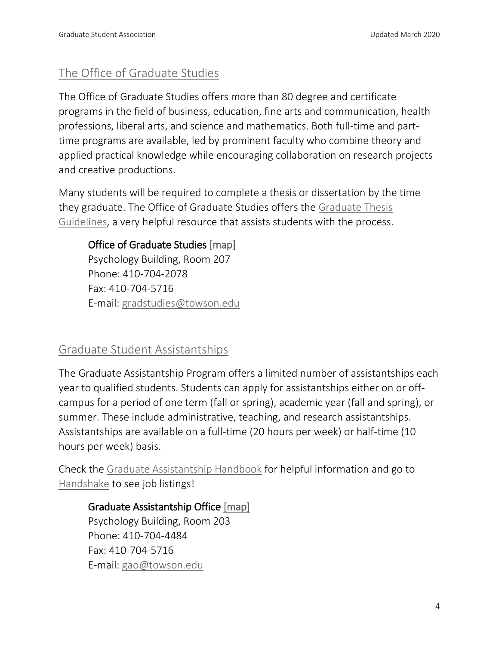# [The Office of Graduate Studies](https://www.towson.edu/academics/graduate/office/)

The Office of Graduate Studies offers more than 80 degree and certificate programs in the field of business, education, fine arts and communication, health professions, liberal arts, and science and mathematics. Both full-time and parttime programs are available, led by prominent faculty who combine theory and applied practical knowledge while encouraging collaboration on research projects and creative productions.

Many students will be required to complete a thesis or dissertation by the time they graduate. The Office of Graduate Studies offers the [Graduate Thesis](https://www.towson.edu/academics/graduate/office/documents/guidelines.pdf)  [Guidelines,](https://www.towson.edu/academics/graduate/office/documents/guidelines.pdf) a very helpful resource that assists students with the process.

### Office of Graduate Studies [\[map\]](http://www.towson.edu/maps/)

Psychology Building, Room 207 Phone: 410-704-2078 Fax: 410-704-5716 E-mail: [gradstudies@towson.edu](mailto:gradstudies@towson.edu)

### [Graduate Student Assistantships](https://www.towson.edu/academics/graduate/assistantships/)

The Graduate Assistantship Program offers a limited number of assistantships each year to qualified students. Students can apply for assistantships either on or offcampus for a period of one term (fall or spring), academic year (fall and spring), or summer. These include administrative, teaching, and research assistantships. Assistantships are available on a full-time (20 hours per week) or half-time (10 hours per week) basis.

Check the [Graduate Assistantship Handbook](https://www.towson.edu/academics/graduate/assistantships/documents/gahandbook.pdf) for helpful information and go to [Handshake](https://app.joinhandshake.com/login?school_approval_token=jPK0AsTI7DksPRH7bIx1-oBA9O51iVeSkfeIwGGNgypokt7JkPS0BA) to see job listings!

### Graduate Assistantship Office [\[map\]](http://www.towson.edu/maps/)

Psychology Building, Room 203 Phone: 410-704-4484 Fax: 410-704-5716 E-mail: [gao@towson.edu](mailto:gao@towson.edu)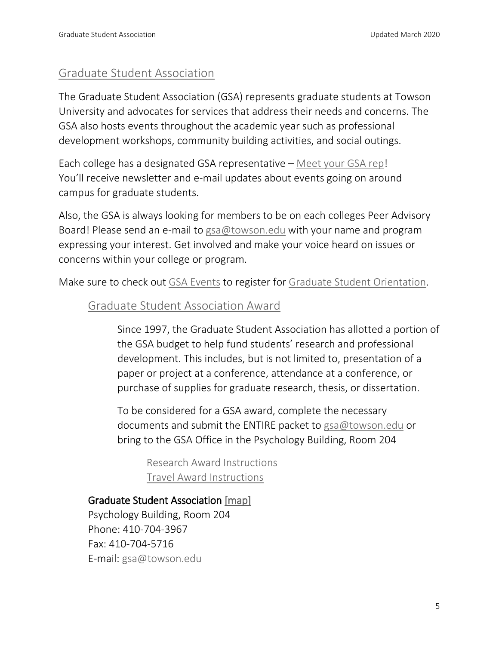### [Graduate Student Association](https://www.towson.edu/academics/graduate/gsa/)

The Graduate Student Association (GSA) represents graduate students at Towson University and advocates for services that address their needs and concerns. The GSA also hosts events throughout the academic year such as professional development workshops, community building activities, and social outings.

Each college has a designated GSA representative – [Meet your GSA rep!](https://www.towson.edu/academics/graduate/gsa/meet.html) You'll receive newsletter and e-mail updates about events going on around campus for graduate students.

Also, the GSA is always looking for members to be on each colleges Peer Advisory Board! Please send an e-mail to [gsa@towson.edu](mailto:gsa@towson.edu) with your name and program expressing your interest. Get involved and make your voice heard on issues or concerns within your college or program.

Make sure to check out [GSA Events](http://www.towson.edu/academics/graduate/gsa/events.html) to register for [Graduate Student Orientation.](http://www.towson.edu/academics/graduate/gsa/events.html)

### [Graduate Student Association Award](https://www.towson.edu/academics/graduate/gsa/awards.html)

Since 1997, the Graduate Student Association has allotted a portion of the GSA budget to help fund students' research and professional development. This includes, but is not limited to, presentation of a paper or project at a conference, attendance at a conference, or purchase of supplies for graduate research, thesis, or dissertation.

To be considered for a GSA award, complete the necessary documents and submit the ENTIRE packet to [gsa@towson.edu](mailto:gsa@towson.edu) or bring to the GSA Office in the Psychology Building, Room 204

[Research Award Instructions](https://www.towson.edu/academics/graduate/gsa/documents/research-award.pdf) [Travel Award Instructions](http://www.towson.edu/academics/graduate/gsa/documents/travel-award.pdf)

### Graduate Student Association [\[map\]](http://www.towson.edu/maps/)

Psychology Building, Room 204 Phone: 410-704-3967 Fax: 410-704-5716 E-mail: [gsa@towson.edu](mailto:gsa@towson.edu)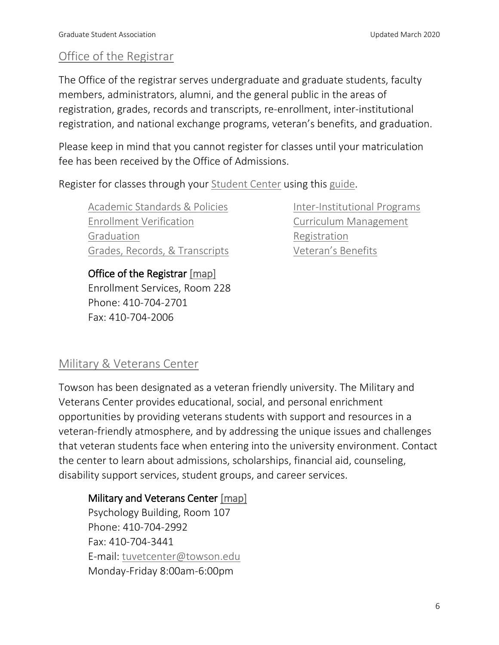# [Office of the Registrar](http://www.towson.edu/registrar/)

The Office of the registrar serves undergraduate and graduate students, faculty members, administrators, alumni, and the general public in the areas of registration, grades, records and transcripts, re-enrollment, inter-institutional registration, and national exchange programs, veteran's benefits, and graduation.

Please keep in mind that you cannot register for classes until your matriculation fee has been received by the Office of Admissions.

Register for classes through your [Student Center](https://inside.towson.edu/psLogin/index.cfm) using this [guide.](http://www.towson.edu/registrar/registration/documents/howtoregisterforclasses.pdf)

[Academic Standards & Policies](http://www.towson.edu/registrar/grades/standards.html) [Enrollment Verification](http://www.towson.edu/registrar/grades/verification.html) [Graduation](http://www.towson.edu/registrar/graduation/index.html) [Grades, Records, & Transcripts](http://www.towson.edu/registrar/grades/index.html) [Inter-Institutional Programs](http://www.towson.edu/registrar/interinstitutional/index.html) [Curriculum Management](http://www.towson.edu/registrar/cim.html) [Registration](http://www.towson.edu/registrar/registration/index.html) [Veteran's Benefits](http://www.towson.edu/registrar/veterans/index.html)

Office of the Registrar [\[map\]](http://www.towson.edu/maps/) Enrollment Services, Room 228 Phone: 410-704-2701 Fax: 410-704-2006

# [Military & Veterans Center](http://www.towson.edu/veterans/)

Towson has been designated as a veteran friendly university. The Military and Veterans Center provides educational, social, and personal enrichment opportunities by providing veterans students with support and resources in a veteran-friendly atmosphere, and by addressing the unique issues and challenges that veteran students face when entering into the university environment. Contact the center to learn about admissions, scholarships, financial aid, counseling, disability support services, student groups, and career services.

#### Military and Veterans Center [\[map\]](http://www.towson.edu/maps/)

Psychology Building, Room 107 Phone: 410-704-2992 Fax: 410-704-3441 E-mail: [tuvetcenter@towson.edu](mailto:tuvetcenter@towson.edu) Monday-Friday 8:00am-6:00pm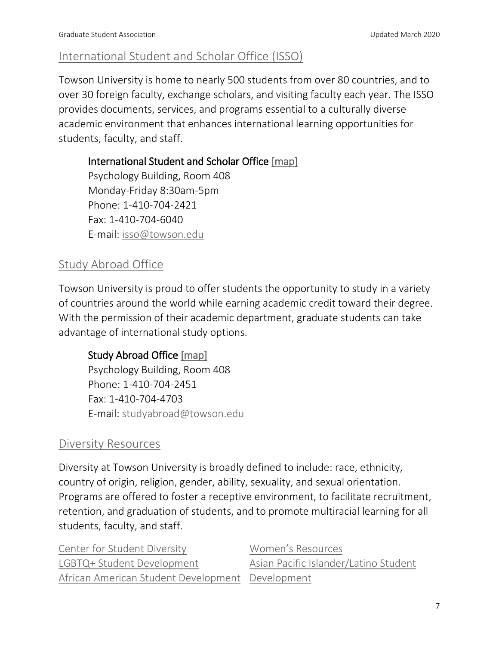# [International Student and Scholar Office \(ISSO\)](http://www.towson.edu/academics/international/isso/)

Towson University is home to nearly 500 students from over 80 countries, and to over 30 foreign faculty, exchange scholars, and visiting faculty each year. The ISSO provides documents, services, and programs essential to a culturally diverse academic environment that enhances international learning opportunities for students, faculty, and staff.

International Student and Scholar Office [\[map\]](http://www.towson.edu/maps/)

Psychology Building, Room 408 Monday-Friday 8:30am-5pm Phone: 1-410-704-2421 Fax: 1-410-704-6040 E-mail: [isso@towson.edu](mailto:isso@towson.edu)

# [Study Abroad Office](http://www.towson.edu/academics/international/abroad/)

Towson University is proud to offer students the opportunity to study in a variety of countries around the world while earning academic credit toward their degree. With the permission of their academic department, graduate students can take advantage of international study options.

# Study Abroad Office [\[map\]](http://www.towson.edu/maps/)

Psychology Building, Room 408 Phone: 1-410-704-2451 Fax: 1-410-704-4703 E-mail: [studyabroad@towson.edu](mailto:studyabroad@towson.edu)

# [Diversity Resources](http://www.towson.edu/studentlife/services/diversity.html)

Diversity at Towson University is broadly defined to include: race, ethnicity, country of origin, religion, gender, ability, sexuality, and sexual orientation. Programs are offered to foster a receptive environment, to facilitate recruitment, retention, and graduation of students, and to promote multiracial learning for all students, faculty, and staff.

| Center for Student Diversity                     | Women's Resources                     |
|--------------------------------------------------|---------------------------------------|
| LGBTQ+ Student Development                       | Asian Pacific Islander/Latino Student |
| African American Student Development Development |                                       |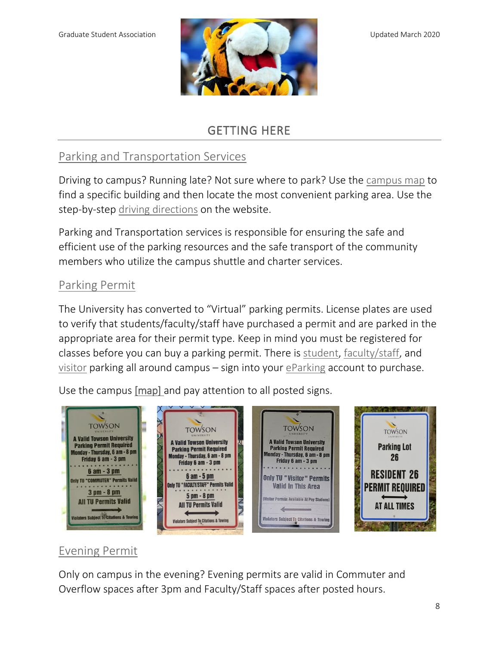

# GETTING HERE

# [Parking and Transportation Services](http://www.towson.edu/parking/)

Driving to campus? Running late? Not sure where to park? Use the [campus map](http://www.towson.edu/maps/index.html) to find a specific building and then locate the most convenient parking area. Use the step-by-step [driving directions](https://www.towson.edu/visit/directions/) on the website.

Parking and Transportation services is responsible for ensuring the safe and efficient use of the parking resources and the safe transport of the community members who utilize the campus shuttle and charter services.

### [Parking Permit](http://www.towson.edu/parking/)

The University has converted to "Virtual" parking permits. License plates are used to verify that students/faculty/staff have purchased a permit and are parked in the appropriate area for their permit type. Keep in mind you must be registered for classes before you can buy a parking permit. There is [student,](http://www.towson.edu/parking/student/index.html) [faculty/staff,](http://www.towson.edu/parking/facultystaff/index.html) and [visitor](https://www.towson.edu/parking/visitors/) parking all around campus – sign into your [eParking](https://tuflexport0616.t2hosted.com/Account/Portal) account to purchase.

Use the campus [\[map\]](http://www.towson.edu/maps/) and pay attention to all posted signs.



# [Evening Permit](http://www.towson.edu/parking/student/permits.html)

Only on campus in the evening? Evening permits are valid in Commuter and Overflow spaces after 3pm and Faculty/Staff spaces after posted hours.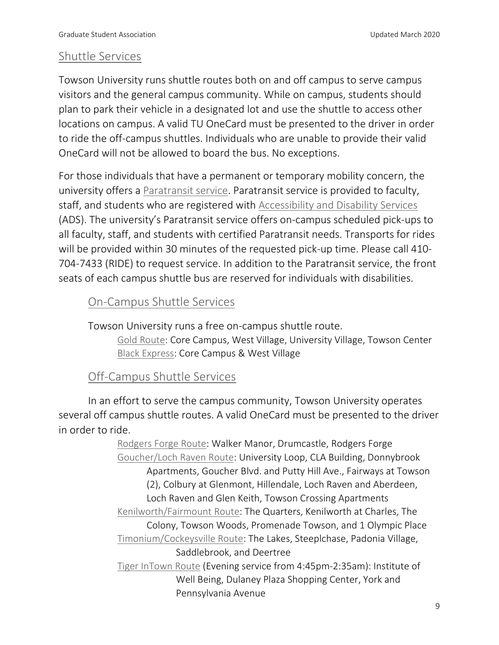### [Shuttle Services](https://www.towson.edu/parking/shuttle/)

Towson University runs shuttle routes both on and off campus to serve campus visitors and the general campus community. While on campus, students should plan to park their vehicle in a designated lot and use the shuttle to access other locations on campus. A valid TU OneCard must be presented to the driver in order to ride the off-campus shuttles. Individuals who are unable to provide their valid OneCard will not be allowed to board the bus. No exceptions.

For those individuals that have a permanent or temporary mobility concern, the university offers a [Paratransit service.](https://www.towson.edu/parking/shuttle/paratransit.html) Paratransit service is provided to faculty, staff, and students who are registered with [Accessibility and Disability Services](https://www.towson.edu/parking/shuttle/documents/dss-application-nov-20131.pdf) (ADS). The university's Paratransit service offers on-campus scheduled pick-ups to all faculty, staff, and students with certified Paratransit needs. Transports for rides will be provided within 30 minutes of the requested pick-up time. Please call 410- 704-7433 (RIDE) to request service. In addition to the Paratransit service, the front seats of each campus shuttle bus are reserved for individuals with disabilities.

### [On-Campus Shuttle Services](http://www.towson.edu/parking/shuttle/oncampus.html)

Towson University runs a free on-campus shuttle route.

[Gold Route:](http://www.towson.edu/parking/documents/gold.pdf) Core Campus, West Village, University Village, Towson Center [Black Express:](http://www.towson.edu/parking/documents/blackexpress.pdf) Core Campus & West Village

### [Off-Campus Shuttle Services](http://www.towson.edu/parking/shuttle/offcampus.html)

In an effort to serve the campus community, Towson University operates several off campus shuttle routes. A valid OneCard must be presented to the driver in order to ride.

> [Rodgers Forge Route:](http://www.towson.edu/parking/documents/rodgersforge.pdf) Walker Manor, Drumcastle, Rodgers Forge [Goucher/Loch Raven](http://www.towson.edu/parking/shuttle/documents/goucherlochraven4.4.17.pdf) Route: University Loop, CLA Building, Donnybrook Apartments, Goucher Blvd. and Putty Hill Ave., Fairways at Towson (2), Colbury at Glenmont, Hillendale, Loch Raven and Aberdeen, Loch Raven and Glen Keith, Towson Crossing Apartments [Kenilworth/Fairmount](http://www.towson.edu/parking/shuttle/documents/kenilworth3.28.17.pdf) Route: The Quarters, Kenilworth at Charles, The Colony, Towson Woods, Promenade Towson, and 1 Olympic Place [Timonium/Cockeysville Route:](http://www.towson.edu/parking/shuttle/documents/timoniumcockeysville4.21.17.pdf) The Lakes, Steeplchase, Padonia Village, Saddlebrook, and Deertree [Tiger InTown Route](http://www.towson.edu/parking/documents/tigerintown.pdf) (Evening service from 4:45pm-2:35am): Institute of Well Being, Dulaney Plaza Shopping Center, York and Pennsylvania Avenue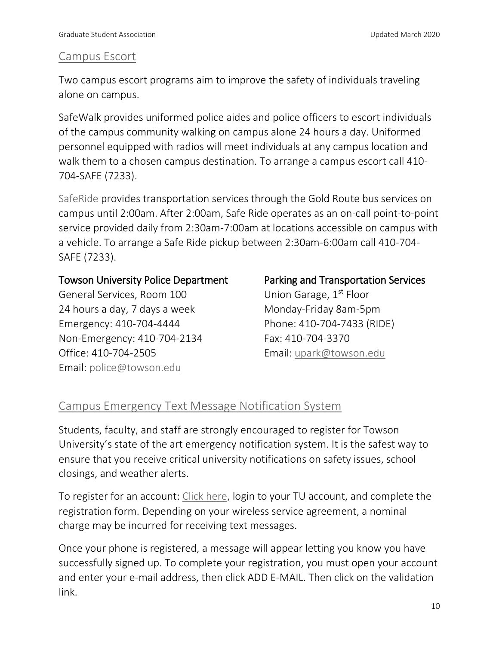### [Campus Escort](http://www.towson.edu/publicsafety/escort.html)

Two campus escort programs aim to improve the safety of individuals traveling alone on campus.

SafeWalk provides uniformed police aides and police officers to escort individuals of the campus community walking on campus alone 24 hours a day. Uniformed personnel equipped with radios will meet individuals at any campus location and walk them to a chosen campus destination. To arrange a campus escort call 410- 704-SAFE (7233).

[SafeRide](http://www.towson.edu/parking/shuttle/saferide.html) provides transportation services through the Gold Route bus services on campus until 2:00am. After 2:00am, Safe Ride operates as an on-call point-to-point service provided daily from 2:30am-7:00am at locations accessible on campus with a vehicle. To arrange a Safe Ride pickup between 2:30am-6:00am call 410-704- SAFE (7233).

#### Towson University Police Department

General Services, Room 100 24 hours a day, 7 days a week Emergency: 410-704-4444 Non-Emergency: 410-704-2134 Office: 410-704-2505 Email: [police@towson.edu](mailto:police@towson.edu)

### Parking and Transportation Services

Union Garage, 1<sup>st</sup> Floor Monday-Friday 8am-5pm Phone: 410-704-7433 (RIDE) Fax: 410-704-3370 Email: [upark@towson.edu](mailto:upark@towson.edu)

# [Campus Emergency Text Message Notification System](https://www.towson.edu/publicsafety/notification/)

Students, faculty, and staff are strongly encouraged to register for Towson University's state of the art emergency notification system. It is the safest way to ensure that you receive critical university notifications on safety issues, school closings, and weather alerts.

To register for an account: [Click here,](http://fusion.towson.edu/Intranet/LDAPSecurity/loginPS2.cfm) login to your TU account, and complete the registration form. Depending on your wireless service agreement, a nominal charge may be incurred for receiving text messages.

Once your phone is registered, a message will appear letting you know you have successfully signed up. To complete your registration, you must open your account and enter your e-mail address, then click ADD E-MAIL. Then click on the validation link.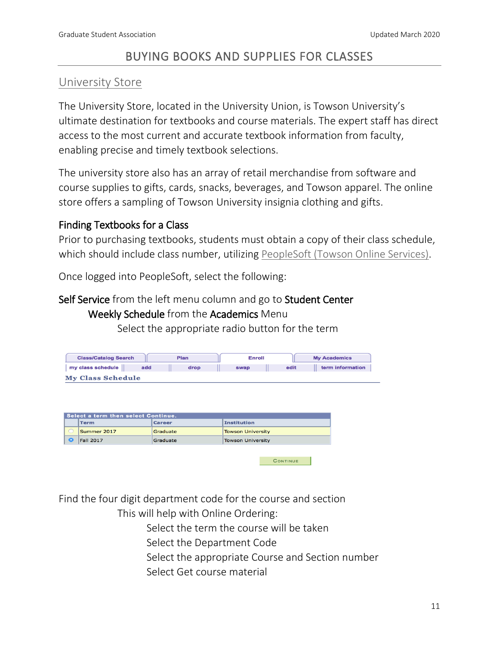# BUYING BOOKS AND SUPPLIES FOR CLASSES

### [University Store](http://towsonustore.com/Home)

The University Store, located in the University Union, is Towson University's ultimate destination for textbooks and course materials. The expert staff has direct access to the most current and accurate textbook information from faculty, enabling precise and timely textbook selections.

The university store also has an array of retail merchandise from software and course supplies to gifts, cards, snacks, beverages, and Towson apparel. The online store offers a sampling of Towson University insignia clothing and gifts.

### Finding Textbooks for a Class

Prior to purchasing textbooks, students must obtain a copy of their class schedule, which should include class number, utilizing [PeopleSoft \(Towson Online Services\).](https://inside.towson.edu/psLogin/)

Once logged into PeopleSoft, select the following:

#### Self Service from the left menu column and go to Student Center

#### Weekly Schedule from the Academics Menu

Select the appropriate radio button for the term

| <b>Class/Catalog Search</b> | Plan        | <b>Enroll</b> |      | <b>My Academics</b> |  |
|-----------------------------|-------------|---------------|------|---------------------|--|
| my class schedule           | add<br>drop | swap          | edit | term information    |  |
| <b>My Class Schedule</b>    |             |               |      |                     |  |

| Select a term then select Continue. |           |                  |               |                          |
|-------------------------------------|-----------|------------------|---------------|--------------------------|
|                                     |           | l Term           | <b>Career</b> | <b>Institution</b>       |
|                                     |           | Summer 2017      | Graduate      | <b>Towson University</b> |
|                                     | $\bullet$ | <b>Fall 2017</b> | Graduate      | <b>Towson University</b> |
|                                     |           |                  |               |                          |

Find the four digit department code for the course and section

This will help with Online Ordering:

Select the term the course will be taken

- Select the Department Code
- Select the appropriate Course and Section number

**CONTINUE** 

Select Get course material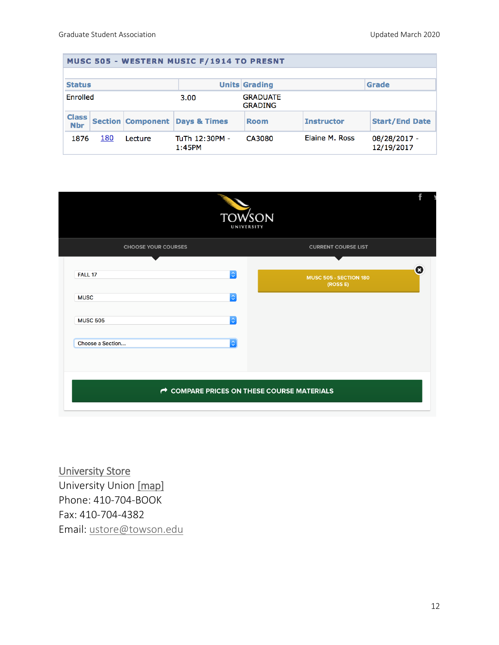| MUSC 505 - WESTERN MUSIC F/1914 TO PRESNT |     |                          |                          |                                   |                   |                            |
|-------------------------------------------|-----|--------------------------|--------------------------|-----------------------------------|-------------------|----------------------------|
|                                           |     |                          |                          |                                   |                   |                            |
| <b>Status</b>                             |     |                          |                          | <b>Units Grading</b>              |                   | <b>Grade</b>               |
| Enrolled                                  |     |                          | 3.00                     | <b>GRADUATE</b><br><b>GRADING</b> |                   |                            |
| <b>Class</b><br><b>Nbr</b>                |     | <b>Section Component</b> | <b>Davs &amp; Times</b>  | <b>Room</b>                       | <b>Instructor</b> | <b>Start/End Date</b>      |
| 1876                                      | 180 | Lecture                  | TuTh 12:30PM -<br>1:45PM | CA3080                            | Elaine M. Ross    | 08/28/2017 -<br>12/19/2017 |



[University Store](http://towsonustore.com/Home)  University Union [\[map\]](http://www.towson.edu/maps/) Phone: 410-704-BOOK Fax: 410-704-4382 Email: [ustore@towson.edu](mailto:ustore@towson.edu)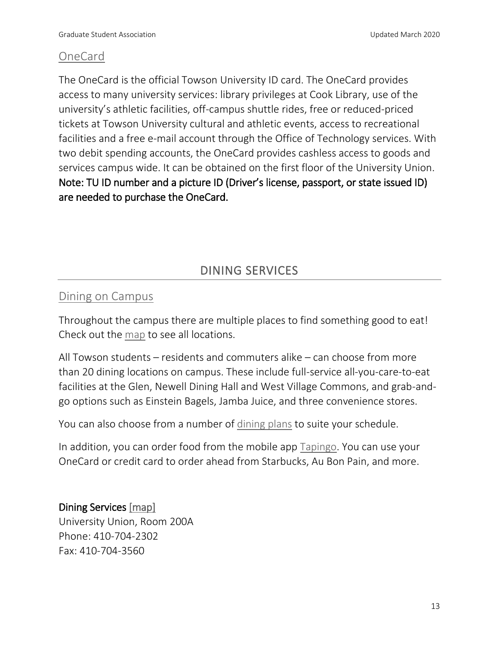### [OneCard](https://www.towson.edu/campus/landmarks/union/ticketbusinessoffice/index.html)

The OneCard is the official Towson University ID card. The OneCard provides access to many university services: library privileges at Cook Library, use of the university's athletic facilities, off-campus shuttle rides, free or reduced-priced tickets at Towson University cultural and athletic events, access to recreational facilities and a free e-mail account through the Office of Technology services. With two debit spending accounts, the OneCard provides cashless access to goods and services campus wide. It can be obtained on the first floor of the University Union. Note: TU ID number and a picture ID (Driver's license, passport, or state issued ID) are needed to purchase the OneCard.

# DINING SERVICES

### [Dining on Campus](https://new.dineoncampus.com/towson)

Throughout the campus there are multiple places to find something good to eat! Check out the [map](https://new.dineoncampus.com/towson/where-to-eat) to see all locations.

All Towson students – residents and commuters alike – can choose from more than 20 dining locations on campus. These include full-service all-you-care-to-eat facilities at the Glen, Newell Dining Hall and West Village Commons, and grab-andgo options such as Einstein Bagels, Jamba Juice, and three convenience stores.

You can also choose from a number of [dining plans](https://new.dineoncampus.com/towson/for-commuters) to suite your schedule.

In addition, you can order food from the mobile app [Tapingo.](https://new.dineoncampus.com/towson/tapingo) You can use your OneCard or credit card to order ahead from Starbucks, Au Bon Pain, and more.

### Dining Services [\[map\]](http://www.towson.edu/maps/)

University Union, Room 200A Phone: 410-704-2302 Fax: 410-704-3560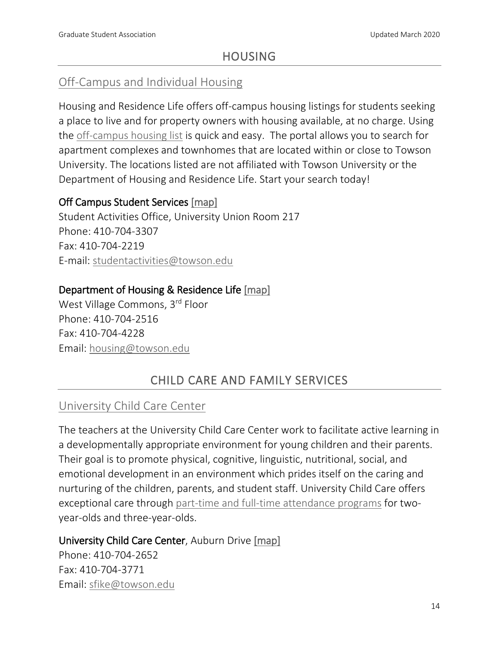## HOUSING

# [Off-Campus and Individual Housing](http://www.towson.edu/studentlife/housing/offcampus/index.html)

Housing and Residence Life offers off-campus housing listings for students seeking a place to live and for property owners with housing available, at no charge. Using the [off-campus housing list](https://offcampushousing.towson.edu/) is quick and easy. The portal allows you to search for apartment complexes and townhomes that are located within or close to Towson University. The locations listed are not affiliated with Towson University or the Department of Housing and Residence Life. Start your search today!

### Off Campus Student Services [\[map\]](http://www.towson.edu/maps/)

Student Activities Office, University Union Room 217 Phone: 410-704-3307 Fax: 410-704-2219 E-mail: [studentactivities@towson.edu](mailto:studentactivities@towson.edu)

### Department of Housing & Residence Life [\[map\]](http://www.towson.edu/maps/)

West Village Commons, 3rd Floor Phone: 410-704-2516 Fax: 410-704-4228 Email: [housing@towson.edu](mailto:housing@towson.edu)

# CHILD CARE AND FAMILY SERVICES

### [University Child Care Center](https://www.towson.edu/childcare/)

The teachers at the University Child Care Center work to facilitate active learning in a developmentally appropriate environment for young children and their parents. Their goal is to promote physical, cognitive, linguistic, nutritional, social, and emotional development in an environment which prides itself on the caring and nurturing of the children, parents, and student staff. University Child Care offers exceptional care through [part-time and full-time attendance programs](https://www.towson.edu/childcare/programs/index.html) for twoyear-olds and three-year-olds.

### University Child Care Center, Auburn Drive [\[map\]](http://www.towson.edu/maps/)

Phone: 410-704-2652 Fax: 410-704-3771 Email: [sfike@towson.edu](mailto:sfike@towson.edu)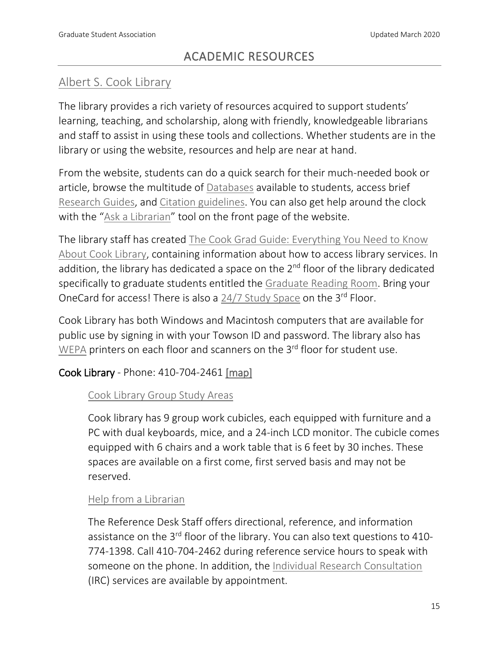# ACADEMIC RESOURCES

# [Albert S. Cook Library](https://libraries.towson.edu/)

The library provides a rich variety of resources acquired to support students' learning, teaching, and scholarship, along with friendly, knowledgeable librarians and staff to assist in using these tools and collections. Whether students are in the library or using the website, resources and help are near at hand.

From the website, students can do a quick search for their much-needed book or article, browse the multitude of [Databases](http://towson.libguides.com/az.php) available to students, access brief [Research Guides,](http://towson.libguides.com/) and [Citation guidelines.](https://libraries.towson.edu/citing-sources) You can also get help around the clock with the "[Ask a Librarian](https://libraries.towson.edu/get-help/ask)" tool on the front page of the website.

The library staff has created [The Cook Grad Guide: Everything You Need to Know](https://libraries.towson.edu/using-the-libraries/graduate-students)  [About Cook Library,](https://libraries.towson.edu/using-the-libraries/graduate-students) containing information about how to access library services. In addition, the library has dedicated a space on the  $2<sup>nd</sup>$  floor of the library dedicated specifically to graduate students entitled the [Graduate Reading Room.](https://libraries.towson.edu/using-the-libraries/graduate-students) Bring your OneCard for access! There is also a [24/7 Study Space](https://libraries.towson.edu/using-the-libraries/building-directory/24-7-study-room) on the 3rd Floor.

Cook Library has both Windows and Macintosh computers that are available for public use by signing in with your Towson ID and password. The library also has [WEPA](https://libraries.towson.edu/printing) printers on each floor and scanners on the 3<sup>rd</sup> floor for student use.

### Cook Library - Phone: 410-704-2461 [\[map\]](http://www.towson.edu/maps/)

### [Cook Library Group Study Areas](http://towson.libcal.com/booking/2ndFloor)

Cook library has 9 group work cubicles, each equipped with furniture and a PC with dual keyboards, mice, and a 24-inch LCD monitor. The cubicle comes equipped with 6 chairs and a work table that is 6 feet by 30 inches. These spaces are available on a first come, first served basis and may not be reserved.

#### [Help from a Librarian](https://libraries.towson.edu/librarian-help)

The Reference Desk Staff offers directional, reference, and information assistance on the 3<sup>rd</sup> floor of the library. You can also text questions to 410-774-1398. Call 410-704-2462 during reference service hours to speak with someone on the phone. In addition, the [Individual Research Consultation](https://libraries.towson.edu/research-consultation-request) (IRC) services are available by appointment.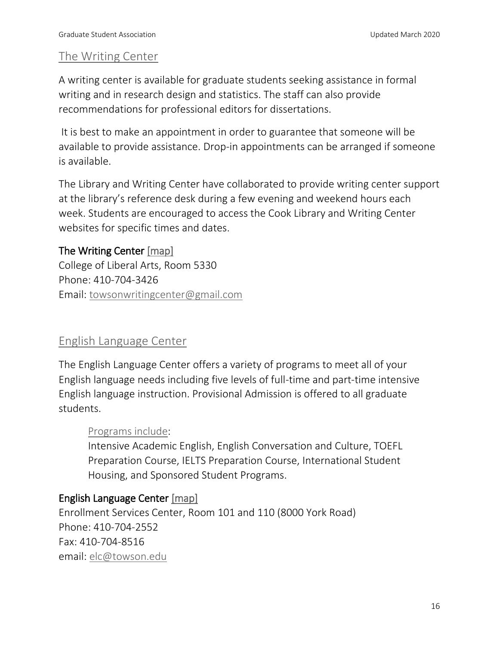### [The Writing Center](http://www.towson.edu/cla/centers/writing/)

A writing center is available for graduate students seeking assistance in formal writing and in research design and statistics. The staff can also provide recommendations for professional editors for dissertations.

It is best to make an appointment in order to guarantee that someone will be available to provide assistance. Drop-in appointments can be arranged if someone is available.

The Library and Writing Center have collaborated to provide writing center support at the library's reference desk during a few evening and weekend hours each week. Students are encouraged to access the Cook Library and Writing Center websites for specific times and dates.

#### The Writing Center [\[map\]](http://www.towson.edu/maps/)

College of Liberal Arts, Room 5330 Phone: 410-704-3426 Email: [towsonwritingcenter@gmail.com](mailto:towsonwritingcenter@gmail.com)

### [English Language Center](https://www.towson.edu/academics/international/english-language-center/)

The English Language Center offers a variety of programs to meet all of your English language needs including five levels of full-time and part-time intensive English language instruction. Provisional Admission is offered to all graduate students.

### [Programs include:](https://www.towson.edu/academics/international/englishlanguagecenter/programs/index.html)

Intensive Academic English, English Conversation and Culture, TOEFL Preparation Course, IELTS Preparation Course, International Student Housing, and Sponsored Student Programs.

### English Language Center [\[map\]](http://www.towson.edu/maps/)

Enrollment Services Center, Room 101 and 110 (8000 York Road) Phone: 410-704-2552 Fax: 410-704-8516 email: [elc@towson.edu](mailto:elc@towson.edu)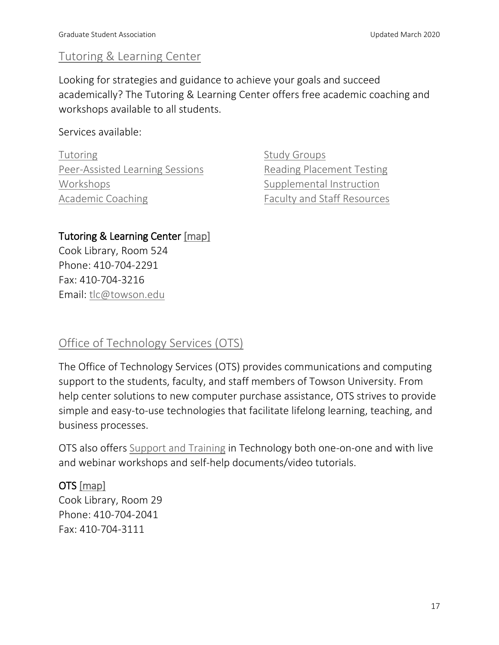# [Tutoring & Learning Center](https://www.towson.edu/tutoring-learning/)

Looking for strategies and guidance to achieve your goals and succeed academically? The Tutoring & Learning Center offers free academic coaching and workshops available to all students.

Services available:

**[Tutoring](https://www.towson.edu/tutoring-learning/course-support/tutoring/)** [Peer-Assisted Learning Sessions](https://www.towson.edu/tutoring-learning/course-support/pal-sessions.html) [Workshops](https://www.towson.edu/tutoring-learning/academic-support/workshops/) [Academic Coaching](https://www.towson.edu/tutoring-learning/academic-support/academic-coaching/)

[Study Groups](https://www.towson.edu/tutoring-learning/academic-support/study-groups.html) [Reading Placement Testing](https://www.towson.edu/tutoring-learning/reading-placement-testing/) [Supplemental Instruction](https://www.towson.edu/tutoring-learning/course-support/supplemental-instruction.html) [Faculty and Staff Resources](https://www.towson.edu/tutoring-learning/services-faculty-staff.html)

### Tutoring & Learning Center [\[map\]](http://www.towson.edu/maps/)

Cook Library, Room 524 Phone: 410-704-2291 Fax: 410-704-3216 Email: [tlc@towson.edu](mailto:tlc@towson.edu)

# [Office of Technology Services \(OTS\)](http://www.towson.edu/technology/)

The Office of Technology Services (OTS) provides communications and computing support to the students, faculty, and staff members of Towson University. From help center solutions to new computer purchase assistance, OTS strives to provide simple and easy-to-use technologies that facilitate lifelong learning, teaching, and business processes.

OTS also offers [Support and Training](http://www.towson.edu/technology/training/index.html) in Technology both one-on-one and with live and webinar workshops and self-help documents/video tutorials.

OTS [\[map\]](http://www.towson.edu/maps/) 

Cook Library, Room 29 Phone: 410-704-2041 Fax: 410-704-3111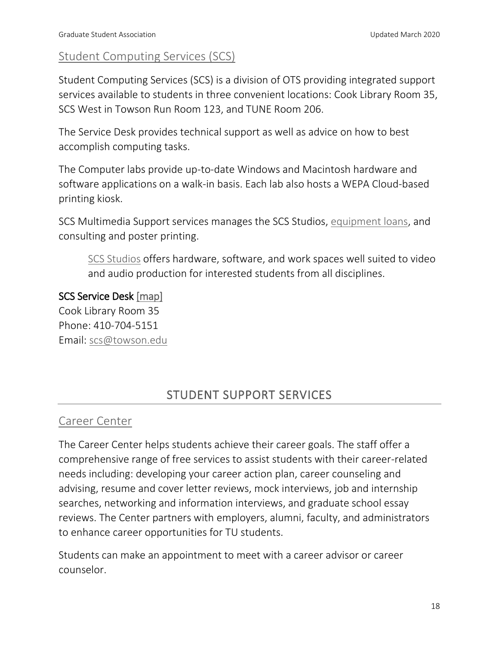# [Student Computing Services \(SCS\)](http://www.towson.edu/technology/studentservices/index.html)

Student Computing Services (SCS) is a division of OTS providing integrated support services available to students in three convenient locations: Cook Library Room 35, SCS West in Towson Run Room 123, and TUNE Room 206.

The Service Desk provides technical support as well as advice on how to best accomplish computing tasks.

The Computer labs provide up-to-date Windows and Macintosh hardware and software applications on a walk-in basis. Each lab also hosts a WEPA Cloud-based printing kiosk.

SCS Multimedia Support services manages the SCS Studios, [equipment loans,](https://www.towson.edu/technology/studentservices/software-hardware/equipment.html) and consulting and poster printing.

[SCS Studios](http://www.towson.edu/technology/studentservices/locations/studios/index.html) offers hardware, software, and work spaces well suited to video and audio production for interested students from all disciplines.

SCS Service Desk [\[map\]](http://www.towson.edu/maps/) Cook Library Room 35 Phone: 410-704-5151 Email: [scs@towson.edu](mailto:scs@towson.edu)

# STUDENT SUPPORT SERVICES

### [Career Center](https://www.towson.edu/careercenter/)

The Career Center helps students achieve their career goals. The staff offer a comprehensive range of free services to assist students with their career-related needs including: developing your career action plan, career counseling and advising, resume and cover letter reviews, mock interviews, job and internship searches, networking and information interviews, and graduate school essay reviews. The Center partners with employers, alumni, faculty, and administrators to enhance career opportunities for TU students.

Students can make an appointment to meet with a career advisor or career counselor.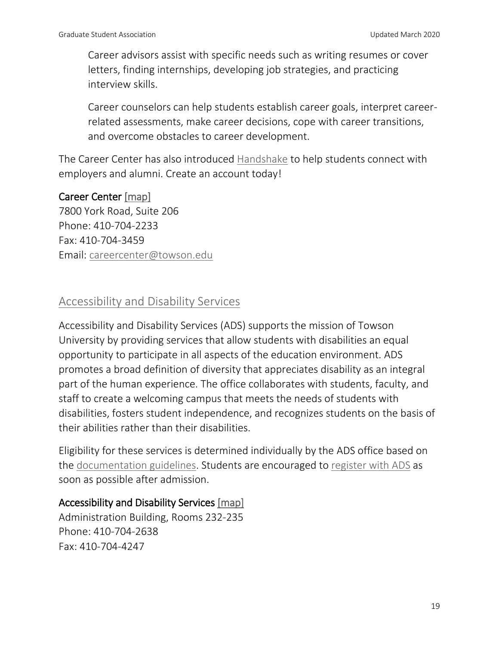Career advisors assist with specific needs such as writing resumes or cover letters, finding internships, developing job strategies, and practicing interview skills.

Career counselors can help students establish career goals, interpret careerrelated assessments, make career decisions, cope with career transitions, and overcome obstacles to career development.

The Career Center has also introduced [Handshake](https://app.joinhandshake.com/login?school_approval_token=jPK0AsTI7DksPRH7bIx1-oBA9O51iVeSkfeIwGGNgypokt7JkPS0BA) to help students connect with employers and alumni. Create an account today!

#### Career Center [\[map\]](http://www.towson.edu/maps/)

7800 York Road, Suite 206 Phone: 410-704-2233 Fax: 410-704-3459 Email: [careercenter@towson.edu](mailto:careercenter@towson.edu)

### [Accessibility and Disability Services](https://www.towson.edu/accessibility-disability-services/)

Accessibility and Disability Services (ADS) supports the mission of Towson University by providing services that allow students with disabilities an equal opportunity to participate in all aspects of the education environment. ADS promotes a broad definition of diversity that appreciates disability as an integral part of the human experience. The office collaborates with students, faculty, and staff to create a welcoming campus that meets the needs of students with disabilities, fosters student independence, and recognizes students on the basis of their abilities rather than their disabilities.

Eligibility for these services is determined individually by the ADS office based on the [documentation guidelines.](https://www.towson.edu/accessibility-disability-services/gettingstarted/guidelines.html) Students are encouraged to [register with ADS](https://www.towson.edu/accessibility-disability-services/gettingstarted/guidelines.html) as soon as possible after admission.

### Accessibility and Disability Services [\[map\]](http://www.towson.edu/maps/)

Administration Building, Rooms 232-235 Phone: 410-704-2638 Fax: 410-704-4247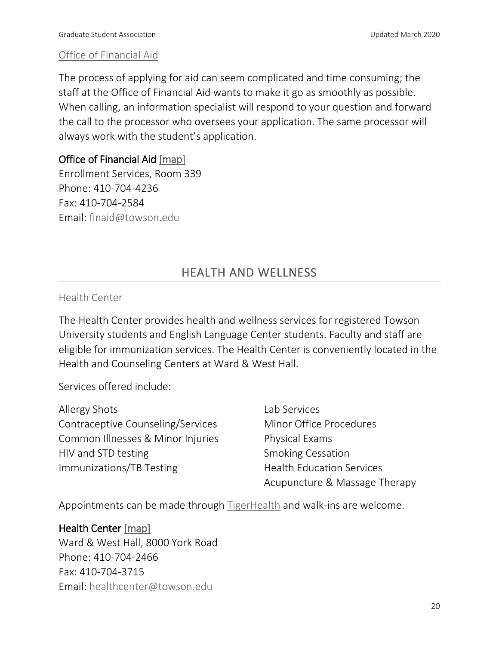#### Office [of Financial Aid](https://www.towson.edu/admissions/financialaid/)

The process of applying for aid can seem complicated and time consuming; the staff at the Office of Financial Aid wants to make it go as smoothly as possible. When calling, an information specialist will respond to your question and forward the call to the processor who oversees your application. The same processor will always work with the student's application.

### Office of Financial Aid [\[map\]](http://www.towson.edu/maps/)

Enrollment Services, Room 339 Phone: 410-704-4236 Fax: 410-704-2584 Email: [finaid@towson.edu](mailto:finaid@towson.edu)

# HEALTH AND WELLNESS

#### [Health Center](https://www.towson.edu/healthcenter/)

The Health Center provides health and wellness services for registered Towson University students and English Language Center students. Faculty and staff are eligible for immunization services. The Health Center is conveniently located in the Health and Counseling Centers at Ward & West Hall.

Services offered include:

| Allergy Shots                     | Lab Services                     |
|-----------------------------------|----------------------------------|
| Contraceptive Counseling/Services | Minor Office Procedures          |
| Common Illnesses & Minor Injuries | Physical Exams                   |
| HIV and STD testing               | <b>Smoking Cessation</b>         |
| <b>Immunizations/TB Testing</b>   | <b>Health Education Services</b> |
|                                   | Acupuncture & Massage Therapy    |

Appointments can be made through [TigerHealth](https://shib.towson.edu/idp/profile/SAML2/Redirect/SSO?execution=e2s1) and walk-ins are welcome.

#### Health Center [\[map\]](http://www.towson.edu/maps/)

Ward & West Hall, 8000 York Road Phone: 410-704-2466 Fax: 410-704-3715 Email: [healthcenter@towson.edu](mailto:healthcenter@towson.edu)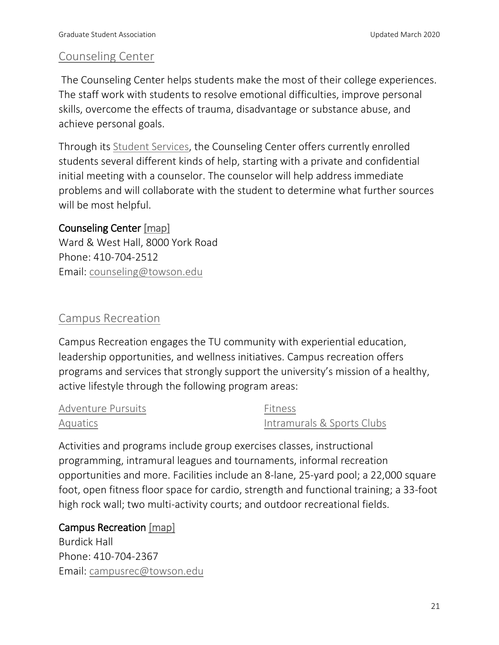# [Counseling Center](http://www.towson.edu/counseling/)

The Counseling Center helps students make the most of their college experiences. The staff work with students to resolve emotional difficulties, improve personal skills, overcome the effects of trauma, disadvantage or substance abuse, and achieve personal goals.

Through its [Student Services,](https://www.towson.edu/counseling/services/) the Counseling Center offers currently enrolled students several different kinds of help, starting with a private and confidential initial meeting with a counselor. The counselor will help address immediate problems and will collaborate with the student to determine what further sources will be most helpful.

#### Counseling Center [\[map\]](http://www.towson.edu/maps/)

Ward & West Hall, 8000 York Road Phone: 410-704-2512 Email: [counseling@towson.edu](mailto:counseling@towson.edu)

# [Campus Recreation](http://www.towson.edu/studentlife/activities/recreation/campusrec/)

Campus Recreation engages the TU community with experiential education, leadership opportunities, and wellness initiatives. Campus recreation offers programs and services that strongly support the university's mission of a healthy, active lifestyle through the following program areas:

| Adventure Pursuits | Fitness                    |
|--------------------|----------------------------|
| Aquatics           | Intramurals & Sports Clubs |

Activities and programs include group exercises classes, instructional programming, intramural leagues and tournaments, informal recreation opportunities and more. Facilities include an 8-lane, 25-yard pool; a 22,000 square foot, open fitness floor space for cardio, strength and functional training; a 33-foot high rock wall; two multi-activity courts; and outdoor recreational fields.

### Campus Recreation [\[map\]](http://www.towson.edu/maps/)

Burdick Hall Phone: 410-704-2367 Email: [campusrec@towson.edu](mailto:campusrec@towson.edu)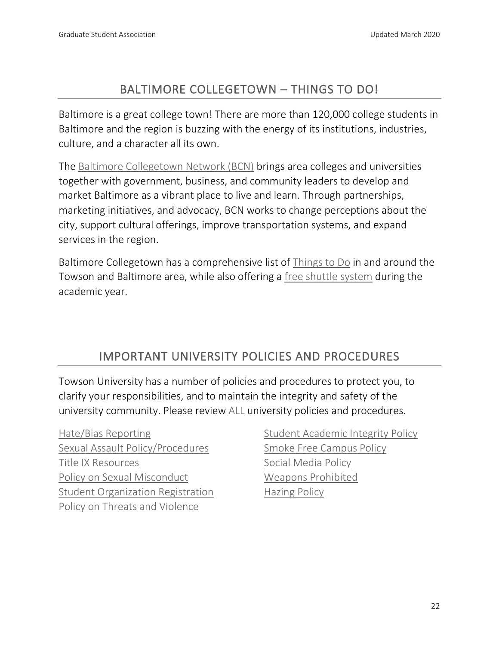# BALTIMORE COLLEGETOWN – THINGS TO DO!

Baltimore is a great college town! There are more than 120,000 college students in Baltimore and the region is buzzing with the energy of its institutions, industries, culture, and a character all its own.

The [Baltimore Collegetown Network \(BCN\)](http://www.baltimorecollegetown.org/) brings area colleges and universities together with government, business, and community leaders to develop and market Baltimore as a vibrant place to live and learn. Through partnerships, marketing initiatives, and advocacy, BCN works to change perceptions about the city, support cultural offerings, improve transportation systems, and expand services in the region.

Baltimore Collegetown has a comprehensive list of [Things to Do](http://baltimorecollegetown.org/explore-baltimore/index.html) in and around the Towson and Baltimore area, while also offering a [free shuttle system](http://baltimorecollegetown.org/shuttle/index.html) during the academic year.

# IMPORTANT UNIVERSITY POLICIES AND PROCEDURES

Towson University has a number of policies and procedures to protect you, to clarify your responsibilities, and to maintain the integrity and safety of the university community. Please review [ALL](https://www.towson.edu/studentaffairs/policies/) university policies and procedures.

[Hate/Bias Reporting](https://www.towson.edu/inclusionequity/reporting.html) [Sexual Assault Policy/Procedures](https://www.towson.edu/counseling/resources/saprocedure.pdf) [Title IX Resources](https://www.towson.edu/inclusionequity/titleix/sexualviolence/) [Policy on Sexual Misconduct](https://www.towson.edu/about/administration/policies/documents/polices/06-01-60-policy-on-sexual-misconduct.pdf) [Student Organization Registration](https://www.towson.edu/about/administration/policies/documents/polices/05-10-00-student-organization-registration.pdf) [Policy on Threats and Violence](https://www.towson.edu/about/administration/policies/documents/polices/06-01-10-policy-on-threats-and-violence.pdf)

[Student Academic Integrity Policy](https://www.towson.edu/about/administration/policies/documents/polices/03-01-00-student-academic-integrity-policy.pdf) [Smoke Free Campus Policy](https://www.towson.edu/about/administration/policies/documents/polices/06-14-00-smoke-free-campus-policy.pdf) [Social Media Policy](https://www.towson.edu/about/administration/policies/documents/polices/10-01-06-social-media-policy.pdf) [Weapons Prohibited](https://www.towson.edu/about/administration/policies/documents/polices/06-01-11-weapons-prohibited.pdf) **Hazing Policy**